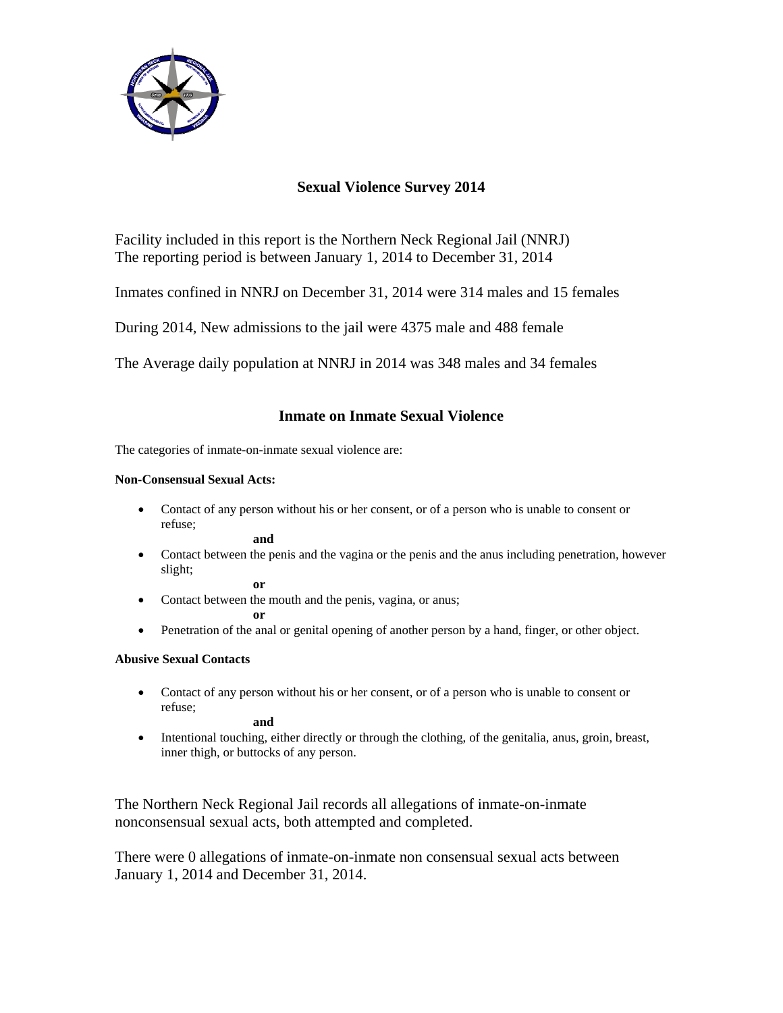

# **Sexual Violence Survey 2014**

Facility included in this report is the Northern Neck Regional Jail (NNRJ) The reporting period is between January 1, 2014 to December 31, 2014

Inmates confined in NNRJ on December 31, 2014 were 314 males and 15 females

During 2014, New admissions to the jail were 4375 male and 488 female

The Average daily population at NNRJ in 2014 was 348 males and 34 females

## **Inmate on Inmate Sexual Violence**

The categories of inmate-on-inmate sexual violence are:

### **Non-Consensual Sexual Acts:**

 Contact of any person without his or her consent, or of a person who is unable to consent or refuse;

**and**

 Contact between the penis and the vagina or the penis and the anus including penetration, however slight;

**or** 

• Contact between the mouth and the penis, vagina, or anus;

**or** 

Penetration of the anal or genital opening of another person by a hand, finger, or other object.

### **Abusive Sexual Contacts**

 Contact of any person without his or her consent, or of a person who is unable to consent or refuse;

**and** 

 Intentional touching, either directly or through the clothing, of the genitalia, anus, groin, breast, inner thigh, or buttocks of any person.

The Northern Neck Regional Jail records all allegations of inmate-on-inmate nonconsensual sexual acts, both attempted and completed.

There were 0 allegations of inmate-on-inmate non consensual sexual acts between January 1, 2014 and December 31, 2014.